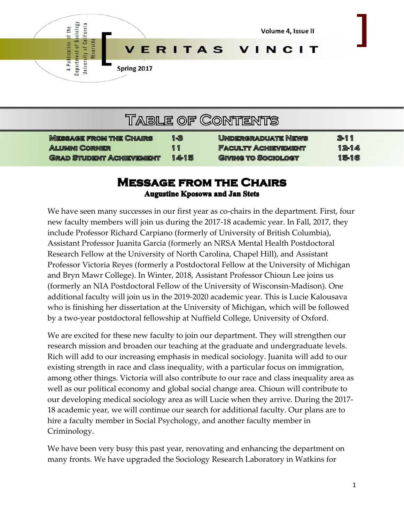

| <b>TABLE OF CONTENTS</b>        |      |                            |          |  |
|---------------------------------|------|----------------------------|----------|--|
| <b>MESSAGE FROM THE CHAIRS</b>  | 1-3  | <b>UNDERGRADUATE NEWS</b>  | $3 - 11$ |  |
| <b>ALUMNI CORNER</b>            | 11   | <b>FACULTY ACHIEVEMENT</b> | $12-14$  |  |
| <b>GRAD STUDENT ACHIEVEMENT</b> | 1415 | <b>GIVING TO SOCIOLOGY</b> | 15-16    |  |

## **MESSAGE FROM THE CHAIRS Augustine Kposowa and Jan Stets**

We have seen many successes in our first year as co-chairs in the department. First, four new faculty members will join us during the 2017-18 academic year. In Fall, 2017, they include Professor Richard Carpiano (formerly of University of British Columbia), Assistant Professor Juanita Garcia (formerly an NRSA Mental Health Postdoctoral Research Fellow at the University of North Carolina, Chapel Hill), and Assistant Professor Victoria Reyes (formerly a Postdoctoral Fellow at the University of Michigan and Bryn Mawr College). In Winter, 2018, Assistant Professor Chioun Lee joins us (formerly an NIA Postdoctoral Fellow of the University of Wisconsin-Madison). One additional faculty will join us in the 2019-2020 academic year. This is Lucie Kalousava who is finishing her dissertation at the University of Michigan, which will be followed by a two-year postdoctoral fellowship at Nuffield College, University of Oxford.

We are excited for these new faculty to join our department. They will strengthen our research mission and broaden our teaching at the graduate and undergraduate levels. Rich will add to our increasing emphasis in medical sociology. Juanita will add to our existing strength in race and class inequality, with a particular focus on immigration, among other things. Victoria will also contribute to our race and class inequality area as well as our political economy and global social change area. Chioun will contribute to our developing medical sociology area as will Lucie when they arrive. During the 2017- 18 academic year, we will continue our search for additional faculty. Our plans are to hire a faculty member in Social Psychology, and another faculty member in Criminology.

We have been very busy this past year, renovating and enhancing the department on many fronts. We have upgraded the Sociology Research Laboratory in Watkins for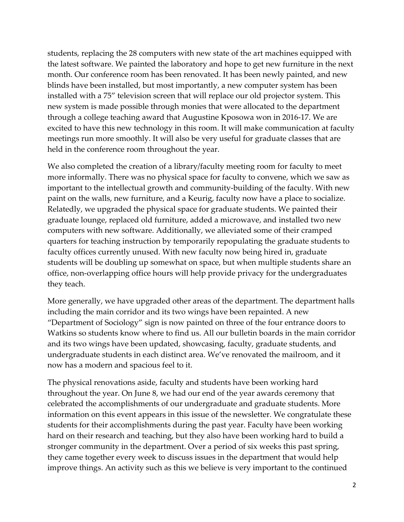students, replacing the 28 computers with new state of the art machines equipped with the latest software. We painted the laboratory and hope to get new furniture in the next month. Our conference room has been renovated. It has been newly painted, and new blinds have been installed, but most importantly, a new computer system has been installed with a 75" television screen that will replace our old projector system. This new system is made possible through monies that were allocated to the department through a college teaching award that Augustine Kposowa won in 2016-17. We are excited to have this new technology in this room. It will make communication at faculty meetings run more smoothly. It will also be very useful for graduate classes that are held in the conference room throughout the year.

We also completed the creation of a library/faculty meeting room for faculty to meet more informally. There was no physical space for faculty to convene, which we saw as important to the intellectual growth and community-building of the faculty. With new paint on the walls, new furniture, and a Keurig, faculty now have a place to socialize. Relatedly, we upgraded the physical space for graduate students. We painted their graduate lounge, replaced old furniture, added a microwave, and installed two new computers with new software. Additionally, we alleviated some of their cramped quarters for teaching instruction by temporarily repopulating the graduate students to faculty offices currently unused. With new faculty now being hired in, graduate students will be doubling up somewhat on space, but when multiple students share an office, non-overlapping office hours will help provide privacy for the undergraduates they teach.

More generally, we have upgraded other areas of the department. The department halls including the main corridor and its two wings have been repainted. A new "Department of Sociology" sign is now painted on three of the four entrance doors to Watkins so students know where to find us. All our bulletin boards in the main corridor and its two wings have been updated, showcasing, faculty, graduate students, and undergraduate students in each distinct area. We've renovated the mailroom, and it now has a modern and spacious feel to it.

The physical renovations aside, faculty and students have been working hard throughout the year. On June 8, we had our end of the year awards ceremony that celebrated the accomplishments of our undergraduate and graduate students. More information on this event appears in this issue of the newsletter. We congratulate these students for their accomplishments during the past year. Faculty have been working hard on their research and teaching, but they also have been working hard to build a stronger community in the department. Over a period of six weeks this past spring, they came together every week to discuss issues in the department that would help improve things. An activity such as this we believe is very important to the continued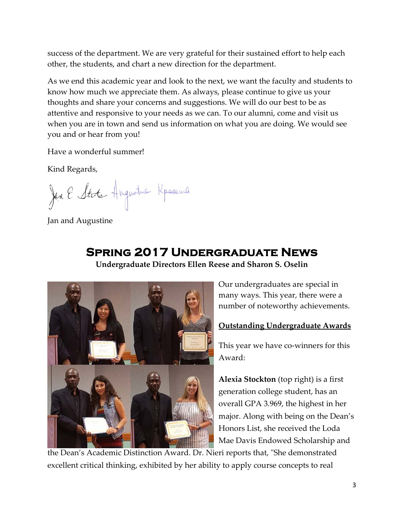success of the department. We are very grateful for their sustained effort to help each other, the students, and chart a new direction for the department.

As we end this academic year and look to the next, we want the faculty and students to know how much we appreciate them. As always, please continue to give us your thoughts and share your concerns and suggestions. We will do our best to be as attentive and responsive to your needs as we can. To our alumni, come and visit us when you are in town and send us information on what you are doing. We would see you and or hear from you!

Have a wonderful summer!

Kind Regards,

Jen E State Augustine Kpassura

Jan and Augustine

# **Spring 2017 Undergraduate News**

**Undergraduate Directors Ellen Reese and Sharon S. Oselin** 



Our undergraduates are special in many ways. This year, there were a number of noteworthy achievements.

#### **Outstanding Undergraduate Awards**

This year we have co-winners for this Award:

**Alexia Stockton** (top right) is a first generation college student, has an overall GPA 3.969, the highest in her major. Along with being on the Dean's Honors List, she received the Loda Mae Davis Endowed Scholarship and

the Dean's Academic Distinction Award. Dr. Nieri reports that, "She demonstrated excellent critical thinking, exhibited by her ability to apply course concepts to real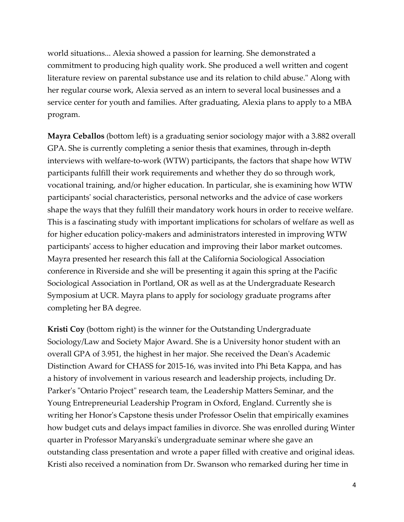world situations... Alexia showed a passion for learning. She demonstrated a commitment to producing high quality work. She produced a well written and cogent literature review on parental substance use and its relation to child abuse." Along with her regular course work, Alexia served as an intern to several local businesses and a service center for youth and families. After graduating, Alexia plans to apply to a MBA program.

**Mayra Ceballos** (bottom left) is a graduating senior sociology major with a 3.882 overall GPA. She is currently completing a senior thesis that examines, through in-depth interviews with welfare-to-work (WTW) participants, the factors that shape how WTW participants fulfill their work requirements and whether they do so through work, vocational training, and/or higher education. In particular, she is examining how WTW participants' social characteristics, personal networks and the advice of case workers shape the ways that they fulfill their mandatory work hours in order to receive welfare. This is a fascinating study with important implications for scholars of welfare as well as for higher education policy-makers and administrators interested in improving WTW participants' access to higher education and improving their labor market outcomes. Mayra presented her research this fall at the California Sociological Association conference in Riverside and she will be presenting it again this spring at the Pacific Sociological Association in Portland, OR as well as at the Undergraduate Research Symposium at UCR. Mayra plans to apply for sociology graduate programs after completing her BA degree.

**Kristi Coy** (bottom right) is the winner for the Outstanding Undergraduate Sociology/Law and Society Major Award. She is a University honor student with an overall GPA of 3.951, the highest in her major. She received the Dean's Academic Distinction Award for CHASS for 2015-16, was invited into Phi Beta Kappa, and has a history of involvement in various research and leadership projects, including Dr. Parker's "Ontario Project" research team, the Leadership Matters Seminar, and the Young Entrepreneurial Leadership Program in Oxford, England. Currently she is writing her Honor's Capstone thesis under Professor Oselin that empirically examines how budget cuts and delays impact families in divorce. She was enrolled during Winter quarter in Professor Maryanski's undergraduate seminar where she gave an outstanding class presentation and wrote a paper filled with creative and original ideas. Kristi also received a nomination from Dr. Swanson who remarked during her time in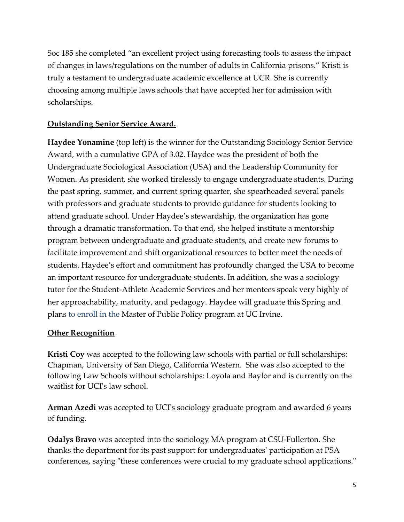Soc 185 she completed "an excellent project using forecasting tools to assess the impact of changes in laws/regulations on the number of adults in California prisons." Kristi is truly a testament to undergraduate academic excellence at UCR. She is currently choosing among multiple laws schools that have accepted her for admission with scholarships.

#### **Outstanding Senior Service Award.**

**Haydee Yonamine** (top left) is the winner for the Outstanding Sociology Senior Service Award, with a cumulative GPA of 3.02. Haydee was the president of both the Undergraduate Sociological Association (USA) and the Leadership Community for Women. As president, she worked tirelessly to engage undergraduate students. During the past spring, summer, and current spring quarter, she spearheaded several panels with professors and graduate students to provide guidance for students looking to attend graduate school. Under Haydee's stewardship, the organization has gone through a dramatic transformation. To that end, she helped institute a mentorship program between undergraduate and graduate students, and create new forums to facilitate improvement and shift organizational resources to better meet the needs of students. Haydee's effort and commitment has profoundly changed the USA to become an important resource for undergraduate students. In addition, she was a sociology tutor for the Student-Athlete Academic Services and her mentees speak very highly of her approachability, maturity, and pedagogy. Haydee will graduate this Spring and plans to enroll in the Master of Public Policy program at UC Irvine.

#### **Other Recognition**

**Kristi Coy** was accepted to the following law schools with partial or full scholarships: Chapman, University of San Diego, California Western. She was also accepted to the following Law Schools without scholarships: Loyola and Baylor and is currently on the waitlist for UCI's law school.

**Arman Azedi** was accepted to UCI's sociology graduate program and awarded 6 years of funding.

**Odalys Bravo** was accepted into the sociology MA program at CSU-Fullerton. She thanks the department for its past support for undergraduates' participation at PSA conferences, saying "these conferences were crucial to my graduate school applications."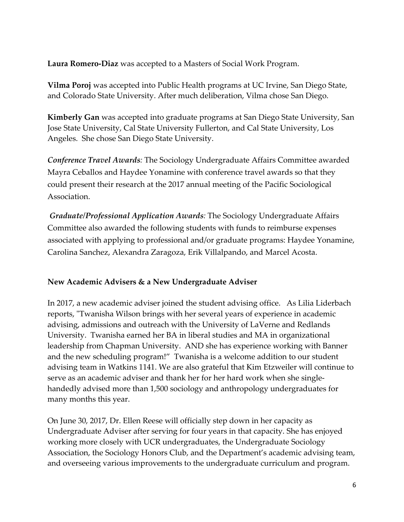**Laura Romero-Diaz** was accepted to a Masters of Social Work Program.

**Vilma Poroj** was accepted into Public Health programs at UC Irvine, San Diego State, and Colorado State University. After much deliberation, Vilma chose San Diego.

**Kimberly Gan** was accepted into graduate programs at San Diego State University, San Jose State University, Cal State University Fullerton, and Cal State University, Los Angeles. She chose San Diego State University.

*Conference Travel Awards:* The Sociology Undergraduate Affairs Committee awarded Mayra Ceballos and Haydee Yonamine with conference travel awards so that they could present their research at the 2017 annual meeting of the Pacific Sociological Association.

*Graduate/Professional Application Awards:* The Sociology Undergraduate Affairs Committee also awarded the following students with funds to reimburse expenses associated with applying to professional and/or graduate programs: Haydee Yonamine, Carolina Sanchez, Alexandra Zaragoza, Erik Villalpando, and Marcel Acosta.

#### **New Academic Advisers & a New Undergraduate Adviser**

In 2017, a new academic adviser joined the student advising office. As Lilia Liderbach reports, "Twanisha Wilson brings with her several years of experience in academic advising, admissions and outreach with the University of LaVerne and Redlands University. Twanisha earned her BA in liberal studies and MA in organizational leadership from Chapman University. AND she has experience working with Banner and the new scheduling program!" Twanisha is a welcome addition to our student advising team in Watkins 1141. We are also grateful that Kim Etzweiler will continue to serve as an academic adviser and thank her for her hard work when she singlehandedly advised more than 1,500 sociology and anthropology undergraduates for many months this year.

On June 30, 2017, Dr. Ellen Reese will officially step down in her capacity as Undergraduate Adviser after serving for four years in that capacity. She has enjoyed working more closely with UCR undergraduates, the Undergraduate Sociology Association, the Sociology Honors Club, and the Department's academic advising team, and overseeing various improvements to the undergraduate curriculum and program.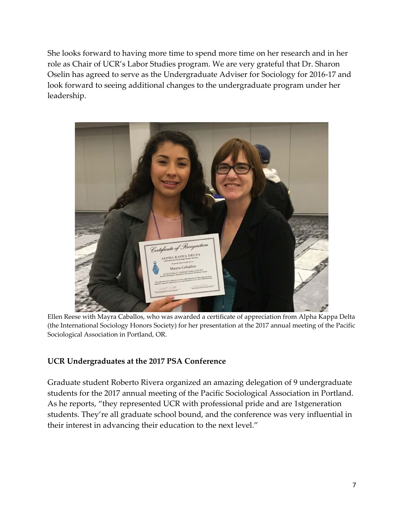She looks forward to having more time to spend more time on her research and in her role as Chair of UCR's Labor Studies program. We are very grateful that Dr. Sharon Oselin has agreed to serve as the Undergraduate Adviser for Sociology for 2016-17 and look forward to seeing additional changes to the undergraduate program under her leadership.



Ellen Reese with Mayra Caballos, who was awarded a certificate of appreciation from Alpha Kappa Delta (the International Sociology Honors Society) for her presentation at the 2017 annual meeting of the Pacific Sociological Association in Portland, OR.

#### **UCR Undergraduates at the 2017 PSA Conference**

Graduate student Roberto Rivera organized an amazing delegation of 9 undergraduate students for the 2017 annual meeting of the Pacific Sociological Association in Portland. As he reports, "they represented UCR with professional pride and are 1stgeneration students. They're all graduate school bound, and the conference was very influential in their interest in advancing their education to the next level."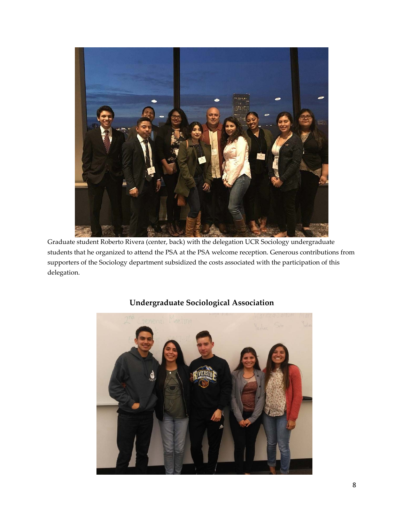

Graduate student Roberto Rivera (center, back) with the delegation UCR Sociology undergraduate students that he organized to attend the PSA at the PSA welcome reception. Generous contributions from supporters of the Sociology department subsidized the costs associated with the participation of this delegation.



## **Undergraduate Sociological Association**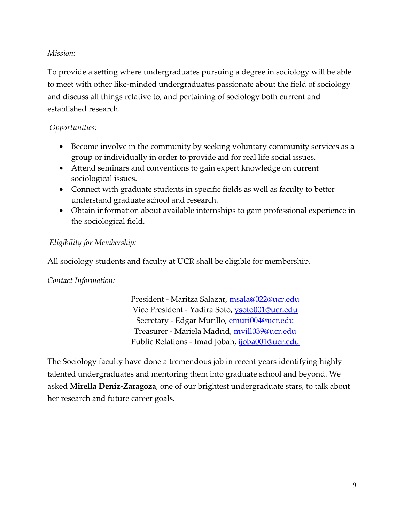#### *Mission:*

To provide a setting where undergraduates pursuing a degree in sociology will be able to meet with other like-minded undergraduates passionate about the field of sociology and discuss all things relative to, and pertaining of sociology both current and established research.

#### *Opportunities:*

- Become involve in the community by seeking voluntary community services as a group or individually in order to provide aid for real life social issues.
- Attend seminars and conventions to gain expert knowledge on current sociological issues.
- Connect with graduate students in specific fields as well as faculty to better understand graduate school and research.
- Obtain information about available internships to gain professional experience in the sociological field.

#### *Eligibility for Membership:*

All sociology students and faculty at UCR shall be eligible for membership.

#### *Contact Information:*

President - Maritza Salazar, msala@022@ucr.edu Vice President - Yadira Soto, ysoto001@ucr.edu Secretary - Edgar Murillo, emuri004@ucr.edu Treasurer - Mariela Madrid, mvill039@ucr.edu Public Relations - Imad Jobah, ijoba001@ucr.edu

The Sociology faculty have done a tremendous job in recent years identifying highly talented undergraduates and mentoring them into graduate school and beyond. We asked **Mirella Deniz-Zaragoza**, one of our brightest undergraduate stars, to talk about her research and future career goals.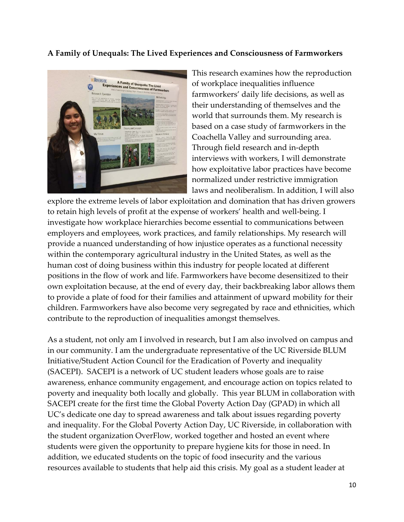#### **A Family of Unequals: The Lived Experiences and Consciousness of Farmworkers**



This research examines how the reproduction of workplace inequalities influence farmworkers' daily life decisions, as well as their understanding of themselves and the world that surrounds them. My research is based on a case study of farmworkers in the Coachella Valley and surrounding area. Through field research and in-depth interviews with workers, I will demonstrate how exploitative labor practices have become normalized under restrictive immigration laws and neoliberalism. In addition, I will also

explore the extreme levels of labor exploitation and domination that has driven growers to retain high levels of profit at the expense of workers' health and well-being. I investigate how workplace hierarchies become essential to communications between employers and employees, work practices, and family relationships. My research will provide a nuanced understanding of how injustice operates as a functional necessity within the contemporary agricultural industry in the United States, as well as the human cost of doing business within this industry for people located at different positions in the flow of work and life. Farmworkers have become desensitized to their own exploitation because, at the end of every day, their backbreaking labor allows them to provide a plate of food for their families and attainment of upward mobility for their children. Farmworkers have also become very segregated by race and ethnicities, which contribute to the reproduction of inequalities amongst themselves.

As a student, not only am I involved in research, but I am also involved on campus and in our community. I am the undergraduate representative of the UC Riverside BLUM Initiative/Student Action Council for the Eradication of Poverty and inequality (SACEPI). SACEPI is a network of UC student leaders whose goals are to raise awareness, enhance community engagement, and encourage action on topics related to poverty and inequality both locally and globally. This year BLUM in collaboration with SACEPI create for the first time the Global Poverty Action Day (GPAD) in which all UC's dedicate one day to spread awareness and talk about issues regarding poverty and inequality. For the Global Poverty Action Day, UC Riverside, in collaboration with the student organization OverFlow, worked together and hosted an event where students were given the opportunity to prepare hygiene kits for those in need. In addition, we educated students on the topic of food insecurity and the various resources available to students that help aid this crisis. My goal as a student leader at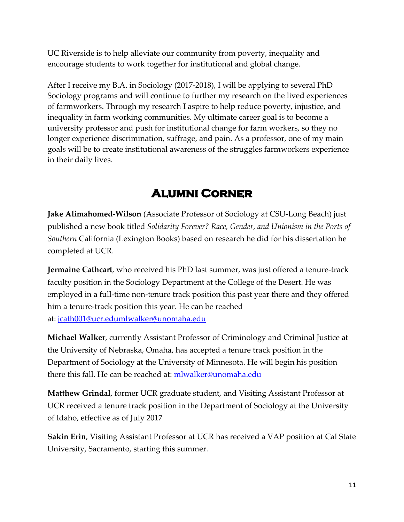UC Riverside is to help alleviate our community from poverty, inequality and encourage students to work together for institutional and global change.

After I receive my B.A. in Sociology (2017-2018), I will be applying to several PhD Sociology programs and will continue to further my research on the lived experiences of farmworkers. Through my research I aspire to help reduce poverty, injustice, and inequality in farm working communities. My ultimate career goal is to become a university professor and push for institutional change for farm workers, so they no longer experience discrimination, suffrage, and pain. As a professor, one of my main goals will be to create institutional awareness of the struggles farmworkers experience in their daily lives.

# **ALUMNI CORNER**

**Jake Alimahomed-Wilson** (Associate Professor of Sociology at CSU-Long Beach) just published a new book titled *Solidarity Forever? Race, Gender, and Unionism in the Ports of Southern* California (Lexington Books) based on research he did for his dissertation he completed at UCR.

**Jermaine Cathcart**, who received his PhD last summer, was just offered a tenure-track faculty position in the Sociology Department at the College of the Desert. He was employed in a full-time non-tenure track position this past year there and they offered him a tenure-track position this year. He can be reached at: jcath001@ucr.edumlwalker@unomaha.edu

**Michael Walker**, currently Assistant Professor of Criminology and Criminal Justice at the University of Nebraska, Omaha, has accepted a tenure track position in the Department of Sociology at the University of Minnesota. He will begin his position there this fall. He can be reached at: mlwalker@unomaha.edu

**Matthew Grindal**, former UCR graduate student, and Visiting Assistant Professor at UCR received a tenure track position in the Department of Sociology at the University of Idaho, effective as of July 2017

**Sakin Erin**, Visiting Assistant Professor at UCR has received a VAP position at Cal State University, Sacramento, starting this summer.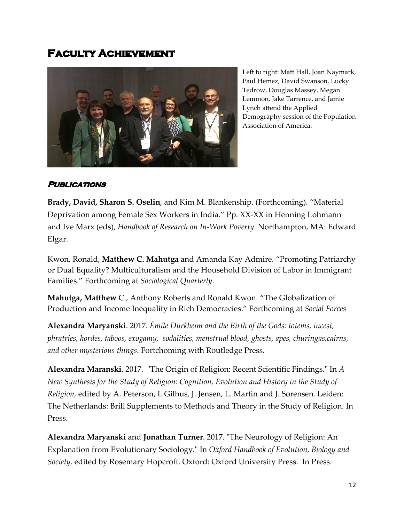## **FACULTY ACHIEVEMENT**



Left to right: Matt Hall, Joan Naymark, Paul Hemez, David Swanson, Lucky Tedrow, Douglas Massey, Megan Lemmon, Jake Tarrence, and Jamie Lynch attend the Applied Demography session of the Population Association of America.

#### **PUBLICATIONS**

**Brady, David, Sharon S. Oselin**, and Kim M. Blankenship. (Forthcoming). "Material Deprivation among Female Sex Workers in India." Pp. XX-XX in Henning Lohmann and Ive Marx (eds), *Handbook of Research on In-Work Poverty*. Northampton, MA: Edward Elgar.

Kwon, Ronald, **Matthew C. Mahutga** and Amanda Kay Admire. "Promoting Patriarchy or Dual Equality? Multiculturalism and the Household Division of Labor in Immigrant Families." Forthcoming at *Sociological Quarterly*.

**Mahutga, Matthew** C., Anthony Roberts and Ronald Kwon. "The Globalization of Production and Income Inequality in Rich Democracies." Forthcoming at *Social Forces*

**Alexandra Maryanski**. 2017. *Émile Durkheim and the Birth of the Gods: totems, incest, phratries, hordes, taboos, exogamy, sodalities, menstrual blood, ghosts, apes, churingas,cairns, and other mysterious things*. Fortchoming with Routledge Press.

**Alexandra Maranski**. 2017. "The Origin of Religion: Recent Scientific Findings." In *A New Synthesis for the Study of Religion: Cognition, Evolution and History in the Study of Religion,* edited by A. Peterson, I. Gilhus, J. Jensen, L. Martin and J. Sørensen*.* Leiden: The Netherlands: Brill Supplements to Methods and Theory in the Study of Religion. In Press.

**Alexandra Maryanski** and **Jonathan Turner**. 2017. "The Neurology of Religion: An Explanation from Evolutionary Sociology." In *Oxford Handbook of Evolution, Biology and Society,* edited by Rosemary Hopcroft. Oxford: Oxford University Press. In Press.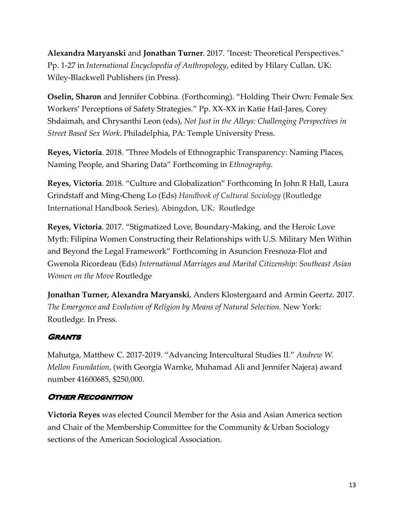**Alexandra Maryanski** and **Jonathan Turner**. 2017. "Incest: Theoretical Perspectives." Pp. 1-27 in *International Encyclopedia of Anthropology*, edited by Hilary Cullan. UK: Wiley-Blackwell Publishers (in Press).

**Oselin, Sharon** and Jennifer Cobbina. (Forthcoming). "Holding Their Own: Female Sex Workers' Perceptions of Safety Strategies." Pp. XX-XX in Katie Hail-Jares, Corey Shdaimah, and Chrysanthi Leon (eds), *Not Just in the Alleys: Challenging Perspectives in Street Based Sex Work*. Philadelphia, PA: Temple University Press.

**Reyes, Victoria**. 2018. "Three Models of Ethnographic Transparency: Naming Places, Naming People, and Sharing Data" Forthcoming in *Ethnography.* 

**Reyes, Victoria**. 2018. "Culture and Globalization" Forthcoming In John R Hall, Laura Grindstaff and Ming-Cheng Lo (Eds) *Handbook of Cultural Sociology* (Routledge International Handbook Series), Abingdon, UK: Routledge

**Reyes, Victoria**. 2017. "Stigmatized Love, Boundary-Making, and the Heroic Love Myth: Filipina Women Constructing their Relationships with U.S. Military Men Within and Beyond the Legal Framework" Forthcoming in Asuncion Fresnoza-Flot and Gwenola Ricordeau (Eds) *International Marriages and Marital Citizenship: Southeast Asian Women on the Move* Routledge

**Jonathan Turner, Alexandra Maryanski**, Anders Klostergaard and Armin Geertz. 2017. *The Emergence and Evolution of Religion by Means of Natural Selection.* New York: Routledge. In Press.

#### **GRANTS**

Mahutga, Matthew C. 2017-2019. "Advancing Intercultural Studies II." *Andrew W. Mellon Foundation*, (with Georgia Warnke, Muhamad Ali and Jennifer Najera) award number 41600685, \$250,000.

#### **OTHER RECOGNITION**

**Victoria Reyes** was elected Council Member for the Asia and Asian America section and Chair of the Membership Committee for the Community & Urban Sociology sections of the American Sociological Association.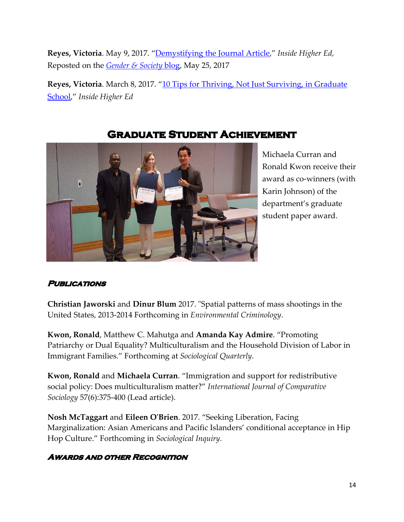**Reyes, Victoria**. May 9, 2017. "Demystifying the Journal Article," *Inside Higher Ed,*  Reposted on the *Gender & Society* blog, May 25, 2017

Reyes, Victoria. March 8, 2017. "10 Tips for Thriving, Not Just Surviving, in Graduate School," *Inside Higher Ed*



## **GRADUATE STUDENT ACHIEVEMENT**

Michaela Curran and Ronald Kwon receive their award as co-winners (with Karin Johnson) of the department's graduate student paper award.

#### **PUBLICATIONS**

**Christian Jaworski** and **Dinur Blum** 2017. "Spatial patterns of mass shootings in the United States, 2013-2014 Forthcoming in *Environmental Criminology*.

**Kwon, Ronald**, Matthew C. Mahutga and **Amanda Kay Admire**. "Promoting Patriarchy or Dual Equality? Multiculturalism and the Household Division of Labor in Immigrant Families." Forthcoming at *Sociological Quarterly*.

**Kwon, Ronald** and **Michaela Curran**. "Immigration and support for redistributive social policy: Does multiculturalism matter?" *International Journal of Comparative Sociology* 57(6):375-400 (Lead article).

**Nosh McTaggart** and **Eileen O'Brien**. 2017. "Seeking Liberation, Facing Marginalization: Asian Americans and Pacific Islanders' conditional acceptance in Hip Hop Culture." Forthcoming in *Sociological Inquiry.*

#### **AWARDS AND OTHER RECOGNITION**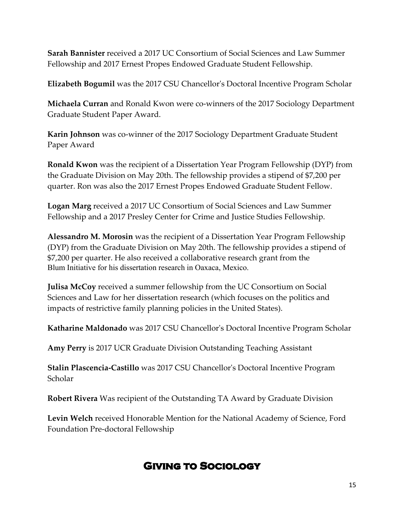**Sarah Bannister** received a 2017 UC Consortium of Social Sciences and Law Summer Fellowship and 2017 Ernest Propes Endowed Graduate Student Fellowship.

**Elizabeth Bogumil** was the 2017 CSU Chancellor's Doctoral Incentive Program Scholar

**Michaela Curran** and Ronald Kwon were co-winners of the 2017 Sociology Department Graduate Student Paper Award.

**Karin Johnson** was co-winner of the 2017 Sociology Department Graduate Student Paper Award

**Ronald Kwon** was the recipient of a Dissertation Year Program Fellowship (DYP) from the Graduate Division on May 20th. The fellowship provides a stipend of \$7,200 per quarter. Ron was also the 2017 Ernest Propes Endowed Graduate Student Fellow.

**Logan Marg** received a 2017 UC Consortium of Social Sciences and Law Summer Fellowship and a 2017 Presley Center for Crime and Justice Studies Fellowship.

**Alessandro M. Morosin** was the recipient of a Dissertation Year Program Fellowship (DYP) from the Graduate Division on May 20th. The fellowship provides a stipend of \$7,200 per quarter. He also received a collaborative research grant from the Blum Initiative for his dissertation research in Oaxaca, Mexico.

**Julisa McCoy** received a summer fellowship from the UC Consortium on Social Sciences and Law for her dissertation research (which focuses on the politics and impacts of restrictive family planning policies in the United States).

**Katharine Maldonado** was 2017 CSU Chancellor's Doctoral Incentive Program Scholar

**Amy Perry** is 2017 UCR Graduate Division Outstanding Teaching Assistant

**Stalin Plascencia-Castillo** was 2017 CSU Chancellor's Doctoral Incentive Program Scholar

**Robert Rivera** Was recipient of the Outstanding TA Award by Graduate Division

**Levin Welch** received Honorable Mention for the National Academy of Science, Ford Foundation Pre-doctoral Fellowship

# **GIVING TO SOCIOLOGY**